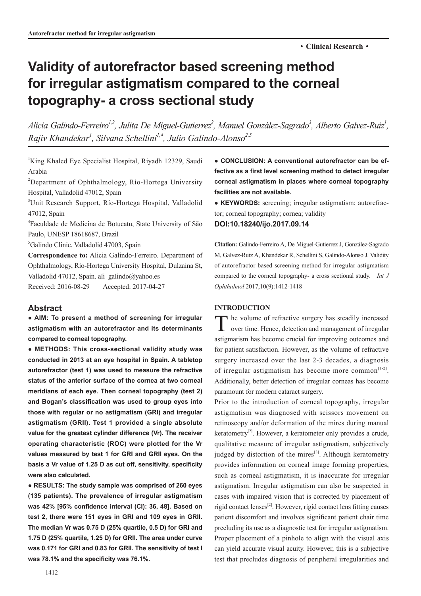# **Validity of autorefractor based screening method for irregular astigmatism compared to the corneal topography- a cross sectional study**

Alicia Galindo-Ferreiro<sup>1,2</sup>, Julita De Miguel-Gutierrez<sup>2</sup>, Manuel González-Sagrado<sup>3</sup>, Alberto Galvez-Ruiz<sup>1</sup>, *Rajiv Khandekar1 , Silvana Schellini1,4, Julio Galindo-Alonso2,5*

<sup>1</sup>King Khaled Eye Specialist Hospital, Riyadh 12329, Saudi Arabia

<sup>2</sup>Department of Ophthalmology, Río-Hortega University Hospital, Valladolid 47012, Spain

3 Unit Research Support, Río-Hortega Hospital, Valladolid 47012, Spain

4 Faculdade de Medicina de Botucatu, State University of São Paulo, UNESP 18618687, Brazil

5 Galindo Clinic, Valladolid 47003, Spain

**Correspondence to:** Alicia Galindo-Ferreiro. Department of Ophthalmology, Río-Hortega University Hospital, Dulzaina St, Valladolid 47012, Spain. ali\_galindo@yahoo.es Received: 2016-08-29 Accepted: 2017-04-27

# **Abstract**

**● AIM: To present a method of screening for irregular astigmatism with an autorefractor and its determinants compared to corneal topography.** 

**● METHODS: This cross-sectional validity study was conducted in 2013 at an eye hospital in Spain. A tabletop autorefractor (test 1) was used to measure the refractive status of the anterior surface of the cornea at two corneal meridians of each eye. Then corneal topography (test 2) and Bogan's classification was used to group eyes into those with regular or no astigmatism (GRI) and irregular astigmatism (GRII). Test 1 provided a single absolute value for the greatest cylinder difference (Vr). The receiver operating characteristic (ROC) were plotted for the Vr values measured by test 1 for GRI and GRII eyes. On the basis a Vr value of 1.25 D as cut off, sensitivity, specificity were also calculated.** 

**● RESULTS: The study sample was comprised of 260 eyes (135 patients). The prevalence of irregular astigmatism was 42% [95% confidence interval (CI): 36, 48]. Based on test 2, there were 151 eyes in GRI and 109 eyes in GRII. The median Vr was 0.75 D (25% quartile, 0.5 D) for GRI and 1.75 D (25% quartile, 1.25 D) for GRII. The area under curve was 0.171 for GRI and 0.83 for GRII. The sensitivity of test I was 78.1% and the specificity was 76.1%.**

**● CONCLUSION: A conventional autorefractor can be effective as a first level screening method to detect irregular corneal astigmatism in places where corneal topography facilities are not available.** 

**● KEYWORDS:** screening; irregular astigmatism; autorefractor; corneal topography; cornea; validity

# **DOI:10.18240/ijo.2017.09.14**

**Citation:** Galindo-Ferreiro A, De Miguel-Gutierrez J, González-Sagrado M, Galvez-Ruiz A, Khandekar R, Schellini S, Galindo-Alonso J. Validity of autorefractor based screening method for irregular astigmatism compared to the corneal topography- a cross sectional study. *Int J Ophthalmol* 2017;10(9):1412-1418

#### **INTRODUCTION**

The volume of refractive surgery has steadily increased over time. Hence, detection and management of irregular astigmatism has become crucial for improving outcomes and for patient satisfaction. However, as the volume of refractive surgery increased over the last 2-3 decades, a diagnosis of irregular astigmatism has become more common $[1-2]$ . Additionally, better detection of irregular corneas has become paramount for modern cataract surgery.

Prior to the introduction of corneal topography, irregular astigmatism was diagnosed with scissors movement on retinoscopy and/or deformation of the mires during manual keratometry<sup>[2]</sup>. However, a keratometer only provides a crude, qualitative measure of irregular astigmatism, subjectively judged by distortion of the mires $[3]$ . Although keratometry provides information on corneal image forming properties, such as corneal astigmatism, it is inaccurate for irregular astigmatism. Irregular astigmatism can also be suspected in cases with impaired vision that is corrected by placement of rigid contact lenses[2]. However, rigid contact lens fitting causes patient discomfort and involves significant patient chair time precluding its use as a diagnostic test for irregular astigmatism. Proper placement of a pinhole to align with the visual axis can yield accurate visual acuity. However, this is a subjective test that precludes diagnosis of peripheral irregularities and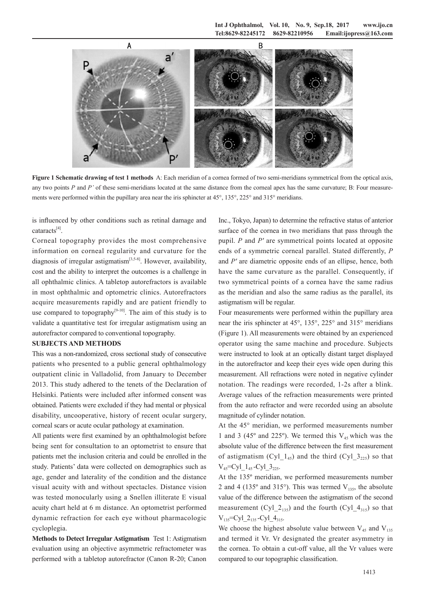

**Figure 1 Schematic drawing of test 1 methods** A: Each meridian of a cornea formed of two semi-meridians symmetrical from the optical axis, any two points *P* and *P'* of these semi-meridians located at the same distance from the corneal apex has the same curvature; B: Four measurements were performed within the pupillary area near the iris sphincter at 45°, 135°, 225° and 315° meridians.

is influenced by other conditions such as retinal damage and cataracts[4].

Corneal topography provides the most comprehensive information on corneal regularity and curvature for the diagnosis of irregular astigmatism<sup>[3,5-8]</sup>. However, availability, cost and the ability to interpret the outcomes is a challenge in all ophthalmic clinics. A tabletop autorefractors is available in most ophthalmic and optometric clinics. Autorefractors acquire measurements rapidly and are patient friendly to use compared to topography<sup>[9-10]</sup>. The aim of this study is to validate a quantitative test for irregular astigmatism using an autorefractor compared to conventional topography.

## **SUBJECTS AND METHODS**

This was a non-randomized, cross sectional study of consecutive patients who presented to a public general ophthalmology outpatient clinic in Valladolid, from January to December 2013. This study adhered to the tenets of the Declaration of Helsinki. Patients were included after informed consent was obtained. Patients were excluded if they had mental or physical disability, uncooperative, history of recent ocular surgery, corneal scars or acute ocular pathology at examination.

All patients were first examined by an ophthalmologist before being sent for consultation to an optometrist to ensure that patients met the inclusion criteria and could be enrolled in the study. Patients' data were collected on demographics such as age, gender and laterality of the condition and the distance visual acuity with and without spectacles. Distance vision was tested monocularly using a Snellen illiterate E visual acuity chart held at 6 m distance. An optometrist performed dynamic refraction for each eye without pharmacologic cycloplegia.

**Methods to Detect Irregular Astigmatism** Test 1: Astigmatism evaluation using an objective asymmetric refractometer was performed with a tabletop autorefractor (Canon R-20; Canon

Inc., Tokyo, Japan) to determine the refractive status of anterior surface of the cornea in two meridians that pass through the pupil. *P* and *P'* are symmetrical points located at opposite ends of a symmetric corneal parallel. Stated differently, *P* and *P'* are diametric opposite ends of an ellipse, hence, both have the same curvature as the parallel. Consequently, if two symmetrical points of a cornea have the same radius as the meridian and also the same radius as the parallel, its astigmatism will be regular.

Four measurements were performed within the pupillary area near the iris sphincter at 45°, 135°, 225° and 315° meridians (Figure 1). All measurements were obtained by an experienced operator using the same machine and procedure. Subjects were instructed to look at an optically distant target displayed in the autorefractor and keep their eyes wide open during this measurement. All refractions were noted in negative cylinder notation. The readings were recorded, 1-2s after a blink. Average values of the refraction measurements were printed from the auto refractor and were recorded using an absolute magnitude of cylinder notation.

At the 45° meridian, we performed measurements number 1 and 3 (45 $\degree$  and 225 $\degree$ ). We termed this  $V_{45}$  which was the absolute value of the difference between the first measurement of astigmatism (Cyl  $1_{45}$ ) and the third (Cyl  $3_{225}$ ) so that  $V_{45}$ =Cyl  $1_{45}$ -Cyl  $3_{225}$ .

At the 135º meridian, we performed measurements number 2 and 4 (135 $^{\circ}$  and 315 $^{\circ}$ ). This was termed V<sub>135</sub>, the absolute value of the difference between the astigmatism of the second measurement (Cyl  $2_{135}$ ) and the fourth (Cyl  $4_{315}$ ) so that  $V_{135}$ =Cyl 2<sub>135</sub> -Cyl 4<sub>315</sub>.

We choose the highest absolute value between  $V_{45}$  and  $V_{135}$ and termed it Vr. Vr designated the greater asymmetry in the cornea. To obtain a cut-off value, all the Vr values were compared to our topographic classification.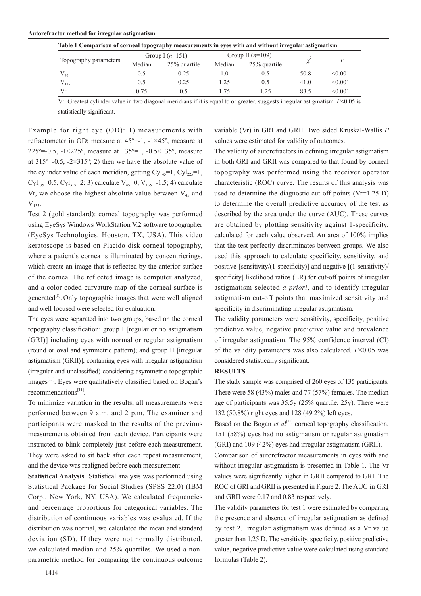#### **Autorefractor method for irregular astigmatism**

| Table 1 Comparison of corneal topography measurements in eyes with and without irregular astigmatism |                   |              |                    |              |      |         |  |  |
|------------------------------------------------------------------------------------------------------|-------------------|--------------|--------------------|--------------|------|---------|--|--|
| Topography parameters                                                                                | Group I $(n=151)$ |              | Group II $(n=109)$ |              |      |         |  |  |
|                                                                                                      | Median            | 25% quartile | Median             | 25% quartile |      |         |  |  |
| $V_{45}$                                                                                             | 0.5               | 0.25         |                    | 0.5          | 50.8 | < 0.001 |  |  |
| $V_{135}$                                                                                            | 0.5               | 0.25         | $-25$              | 0.5          | 41.0 | < 0.001 |  |  |
| Vr                                                                                                   | 0.75              | 05           | -75                | $\pm 25$     | 83.5 | < 0.001 |  |  |

Vr: Greatest cylinder value in two diagonal meridians if it is equal to or greater, suggests irregular astigmatism. *P*<0.05 is statistically significant.

Example for right eye (OD): 1) measurements with refractometer in OD; measure at  $45^\circ$ =-1,  $-1\times45^\circ$ , measure at 225<sup>o</sup>=-0.5, -1×225<sup>o</sup>, measure at 135<sup>o</sup>=1, -0.5×135<sup>o</sup>, measure at  $315^{\circ}$ =-0.5, -2×315°; 2) then we have the absolute value of the cylinder value of each meridian, getting  $Cyl_{45}=1$ ,  $Cyl_{22}=1$ , Cyl<sub>135</sub>=0.5, Cyl<sub>315</sub>=2; 3) calculate  $V_{45}$ =0,  $V_{135}$ =-1.5; 4) calculate Vr, we choose the highest absolute value between  $V_{45}$  and  $V_{135}$ .

Test 2 (gold standard): corneal topography was performed using EyeSys Windows WorkStation V.2 software topographer (EyeSys Technologies, Houston, TX, USA). This video keratoscope is based on Placido disk corneal topography, where a patient's cornea is illuminated by concentricrings, which create an image that is reflected by the anterior surface of the cornea. The reflected image is computer analyzed, and a color-coded curvature map of the corneal surface is generated $[8]$ . Only topographic images that were well aligned and well focused were selected for evaluation.

The eyes were separated into two groups, based on the corneal topography classification: group I [regular or no astigmatism (GRI)] including eyes with normal or regular astigmatism (round or oval and symmetric pattern); and group II [irregular astigmatism (GRII)], containing eyes with irregular astigmatism (irregular and unclassified) considering asymmetric topographic images<sup>[11]</sup>. Eyes were qualitatively classified based on Bogan's recommendations[11].

To minimize variation in the results, all measurements were performed between 9 a.m. and 2 p.m. The examiner and participants were masked to the results of the previous measurements obtained from each device. Participants were instructed to blink completely just before each measurement. They were asked to sit back after each repeat measurement, and the device was realigned before each measurement.

**Statistical Analysis** Statistical analysis was performed using Statistical Package for Social Studies (SPSS 22.0) (IBM Corp., New York, NY, USA). We calculated frequencies and percentage proportions for categorical variables. The distribution of continuous variables was evaluated. If the distribution was normal, we calculated the mean and standard deviation (SD). If they were not normally distributed, we calculated median and 25% quartiles. We used a nonparametric method for comparing the continuous outcome variable (Vr) in GRI and GRII. Two sided Kruskal-Wallis *P*  values were estimated for validity of outcomes.

The validity of autorefractors in defining irregular astigmatism in both GRI and GRII was compared to that found by corneal topography was performed using the receiver operator characteristic (ROC) curve. The results of this analysis was used to determine the diagnostic cut-off points (Vr=1.25 D) to determine the overall predictive accuracy of the test as described by the area under the curve (AUC). These curves are obtained by plotting sensitivity against 1-specificity, calculated for each value observed. An area of 100% implies that the test perfectly discriminates between groups. We also used this approach to calculate specificity, sensitivity, and positive [sensitivity/(1-specificity)] and negative [(1-sensitivity)/ specificity] likelihood ratios (LR) for cut-off points of irregular astigmatism selected *a priori*, and to identify irregular astigmatism cut-off points that maximized sensitivity and specificity in discriminating irregular astigmatism.

The validity parameters were sensitivity, specificity, positive predictive value, negative predictive value and prevalence of irregular astigmatism. The 95% confidence interval (CI) of the validity parameters was also calculated. *P*<0.05 was considered statistically significant.

#### **RESULTS**

The study sample was comprised of 260 eyes of 135 participants. There were 58 (43%) males and 77 (57%) females. The median age of participants was 35.5y (25% quartile, 25y). There were 132 (50.8%) right eyes and 128 (49.2%) left eyes.

Based on the Bogan *et al*<sup>[11]</sup> corneal topography classification, 151 (58%) eyes had no astigmatism or regular astigmatism (GRI) and 109 (42%) eyes had irregular astigmatism (GRII).

Comparison of autorefractor measurements in eyes with and without irregular astigmatism is presented in Table 1. The Vr values were significantly higher in GRII compared to GRI. The ROC of GRI and GRII is presented in Figure 2. The AUC in GRI and GRII were 0.17 and 0.83 respectively.

The validity parameters for test 1 were estimated by comparing the presence and absence of irregular astigmatism as defined by test 2. Irregular astigmatism was defined as a Vr value greater than 1.25 D. The sensitivity, specificity, positive predictive value, negative predictive value were calculated using standard formulas (Table 2).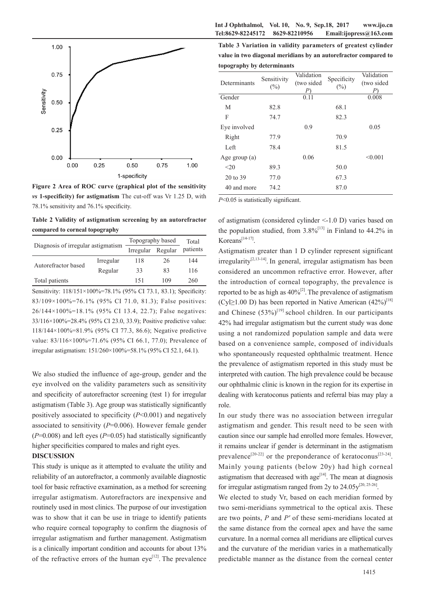



**Figure 2 Area of ROC curve (graphical plot of the sensitivity**  *vs* **1-specificity) for astigmatism** The cut-off was Vr 1.25 D, with 78.1% sensitivity and 76.1% specificity.

**Table 2 Validity of astigmatism screening by an autorefractor compared to corneal topography**

| Diagnosis of irregular astigmatism |                      |     | Total            |  |
|------------------------------------|----------------------|-----|------------------|--|
|                                    | Regular<br>Irregular |     | patients         |  |
| Irregular                          | 118                  | 26  | 144              |  |
| Regular                            | 33                   | 83  | 116              |  |
|                                    | 151                  | 109 | 260              |  |
|                                    |                      |     | Topography based |  |

Sensitivity: 118/151×100%=78.1% (95% CI 73.1, 83.1); Specificity: 83/109×100%=76.1% (95% CI 71.0, 81.3); False positives: 26/144×100%=18.1% (95% CI 13.4, 22.7); False negatives: 33/116×100%=28.4% (95% CI 23.0, 33.9); Positive predictive value: 118/144×100%=81.9% (95% CI 77.3, 86.6); Negative predictive value: 83/116×100%=71.6% (95% CI 66.1, 77.0); Prevalence of irregular astigmatism: 151/260×100%=58.1% (95% CI 52.1, 64.1).

We also studied the influence of age-group, gender and the eye involved on the validity parameters such as sensitivity and specificity of autorefractor screening (test 1) for irregular astigmatism (Table 3). Age group was statistically significantly positively associated to specificity (*P*<0.001) and negatively associated to sensitivity (*P*=0.006). However female gender  $(P=0.008)$  and left eyes  $(P=0.05)$  had statistically significantly higher specificities compared to males and right eyes.

### **DISCUSSION**

This study is unique as it attempted to evaluate the utility and reliability of an autorefractor, a commonly available diagnostic tool for basic refractive examination, as a method for screening irregular astigmatism. Autorefractors are inexpensive and routinely used in most clinics. The purpose of our investigation was to show that it can be use in triage to identify patients who require corneal topography to confirm the diagnosis of irregular astigmatism and further management. Astigmatism is a clinically important condition and accounts for about 13% of the refractive errors of the human  $eye^{[12]}$ . The prevalence

**Table 3 Variation in validity parameters of greatest cylinder value in two diagonal meridians by an autorefractor compared to topography by determinants**

| Determinants    | Sensitivity<br>$(\%)$ | Validation<br>(two sided<br>P) | Specificity<br>(%) | Validation<br>(two sided<br>P |
|-----------------|-----------------------|--------------------------------|--------------------|-------------------------------|
| Gender          |                       | 0.11                           |                    | 0.008                         |
| М               | 82.8                  |                                | 68.1               |                               |
| F               | 74.7                  |                                | 82.3               |                               |
| Eye involved    |                       | 0.9                            |                    | 0.05                          |
| Right           | 77.9                  |                                | 70.9               |                               |
| Left            | 78.4                  |                                | 81.5               |                               |
| Age group $(a)$ |                       | 0.06                           |                    | < 0.001                       |
| <20             | 89.3                  |                                | 50.0               |                               |
| 20 to 39        | 77.0                  |                                | 67.3               |                               |
| 40 and more     | 74.2                  |                                | 87.0               |                               |

*P*<0.05 is statistically significant.

of astigmatism (considered cylinder <-1.0 D) varies based on the population studied, from  $3.8\%$ <sup>[13]</sup> in Finland to 44.2% in  $Koreans<sup>[14-17]</sup>$ .

Astigmatism greater than 1 D cylinder represent significant  $irregularity^{[2,13-14]}$ . In general, irregular astigmatism has been considered an uncommon refractive error. However, after the introduction of corneal topography, the prevalence is reported to be as high as  $40\%^{[2]}$ . The prevalence of astigmatism (Cyl≥1.00 D) has been reported in Native American  $(42\%)^{[18]}$ and Chinese  $(53\%)^{[19]}$  school children. In our participants 42% had irregular astigmatism but the current study was done using a not randomized population sample and data were based on a convenience sample, composed of individuals who spontaneously requested ophthalmic treatment. Hence the prevalence of astigmatism reported in this study must be interpreted with caution. The high prevalence could be because our ophthalmic clinic is known in the region for its expertise in dealing with keratoconus patients and referral bias may play a role.

In our study there was no association between irregular astigmatism and gender. This result need to be seen with caution since our sample had enrolled more females. However, it remains unclear if gender is determinant in the astigmatism prevalence<sup>[20-22]</sup> or the preponderance of keratoconus<sup>[23-24]</sup>. Mainly young patients (below 20y) had high corneal astigmatism that decreased with  $age^{[14]}$ . The mean at diagnosis for irregular astigmatism ranged from 2y to  $24.05v^{[20, 25-26]}$ .

We elected to study Vr, based on each meridian formed by two semi-meridians symmetrical to the optical axis. These are two points, *P* and *P'* of these semi-meridians located at the same distance from the corneal apex and have the same curvature. In a normal cornea all meridians are elliptical curves and the curvature of the meridian varies in a mathematically predictable manner as the distance from the corneal center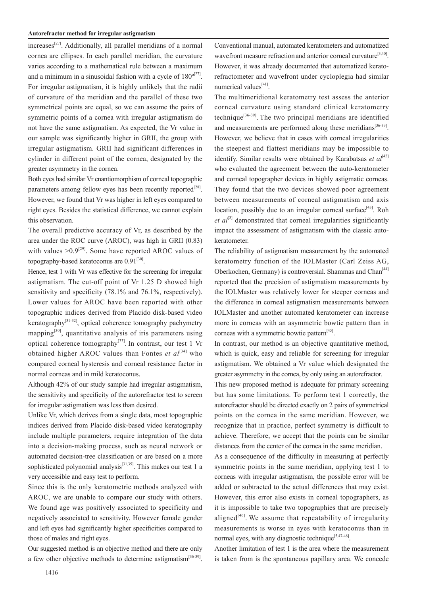## **Autorefractor method for irregular astigmatism**

 $increases^{[27]}$ . Additionally, all parallel meridians of a normal cornea are ellipses. In each parallel meridian, the curvature varies according to a mathematical rule between a maximum and a minimum in a sinusoidal fashion with a cycle of  $180^{\circ[27]}$ . For irregular astigmatism, it is highly unlikely that the radii of curvature of the meridian and the parallel of these two symmetrical points are equal, so we can assume the pairs of symmetric points of a cornea with irregular astigmatism do not have the same astigmatism. As expected, the Vr value in our sample was significantly higher in GRII, the group with irregular astigmatism. GRII had significant differences in cylinder in different point of the cornea, designated by the greater asymmetry in the cornea.

Both eyes had similar Vr enantiomorphism of corneal topographic parameters among fellow eyes has been recently reported $^{[28]}$ . However, we found that Vr was higher in left eyes compared to right eyes. Besides the statistical difference, we cannot explain this observation.

The overall predictive accuracy of Vr, as described by the area under the ROC curve (AROC), was high in GRII (0.83) with values  $>0.9^{[29]}$ . Some have reported AROC values of topography-based keratoconus are  $0.91^{[30]}$ .

Hence, test 1 with Vr was effective for the screening for irregular astigmatism. The cut-off point of Vr 1.25 D showed high sensitivity and specificity (78.1% and 76.1%, respectively). Lower values for AROC have been reported with other topographic indices derived from Placido disk-based video keratography<sup>[31-32]</sup>, optical coherence tomography pachymetry mapping<sup>[30]</sup>, quantitative analysis of iris parameters using optical coherence tomography<sup>[33]</sup>. In contrast, our test 1 Vr obtained higher AROC values than Fontes *et al*<sup>[34]</sup> who compared corneal hysteresis and corneal resistance factor in normal corneas and in mild keratoconus.

Although 42% of our study sample had irregular astigmatism, the sensitivity and specificity of the autorefractor test to screen for irregular astigmatism was less than desired.

Unlike Vr, which derives from a single data, most topographic indices derived from Placido disk-based video keratography include multiple parameters, require integration of the data into a decision-making process, such as neural network or automated decision-tree classification or are based on a more sophisticated polynomial analysis<sup>[31,35]</sup>. This makes our test 1 a very accessible and easy test to perform.

Since this is the only keratometric methods analyzed with AROC, we are unable to compare our study with others. We found age was positively associated to specificity and negatively associated to sensitivity. However female gender and left eyes had significantly higher specificities compared to those of males and right eyes.

Our suggested method is an objective method and there are only a few other objective methods to determine astigmatism<sup>[36-39]</sup>.

Conventional manual, automated keratometers and automatized wavefront measure refraction and anterior corneal curvature<sup>[3,40]</sup>. However, it was already documented that automatized keratorefractometer and wavefront under cycloplegia had similar numerical values<sup>[41]</sup>.

The multimeridional keratometry test assess the anterior corneal curvature using standard clinical keratometry technique<sup>[36-39]</sup>. The two principal meridians are identified and measurements are performed along these meridians $[36-39]$ . However, we believe that in cases with corneal irregularities the steepest and flattest meridians may be impossible to identify. Similar results were obtained by Karabatsas et al<sup>[42]</sup> who evaluated the agreement between the auto-keratometer and corneal topographer devices in highly astigmatic corneas. They found that the two devices showed poor agreement between measurements of corneal astigmatism and axis location, possibly due to an irregular corneal surface<sup>[43]</sup>. Roh *et*  $aI^{[3]}$  demonstrated that corneal irregularities significantly impact the assessment of astigmatism with the classic autokeratometer.

The reliability of astigmatism measurement by the automated keratometry function of the IOLMaster (Carl Zeiss AG, Oberkochen, Germany) is controversial. Shammas and Chan<sup>[44]</sup> reported that the precision of astigmatism measurements by the IOLMaster was relatively lower for steeper corneas and the difference in corneal astigmatism measurements between IOLMaster and another automated keratometer can increase more in corneas with an asymmetric bowtie pattern than in corneas with a symmetric bowtie pattern<sup>[45]</sup>.

In contrast, our method is an objective quantitative method, which is quick, easy and reliable for screening for irregular astigmatism. We obtained a Vr value which designated the greater asymmetry in the cornea, by only using an autorefractor.

This new proposed method is adequate for primary screening but has some limitations. To perform test 1 correctly, the autorefractor should be directed exactly on 2 pairs of symmetrical points on the cornea in the same meridian. However, we recognize that in practice, perfect symmetry is difficult to achieve. Therefore, we accept that the points can be similar distances from the center of the cornea in the same meridian.

As a consequence of the difficulty in measuring at perfectly symmetric points in the same meridian, applying test 1 to corneas with irregular astigmatism, the possible error will be added or subtracted to the actual differences that may exist. However, this error also exists in corneal topographers, as it is impossible to take two topographies that are precisely aligned<sup>[46]</sup>. We assume that repeatability of irregularity measurements is worse in eyes with keratoconus than in normal eyes, with any diagnostic technique<sup> $[5,47-48]$ </sup>.

Another limitation of test 1 is the area where the measurement is taken from is the spontaneous papillary area. We concede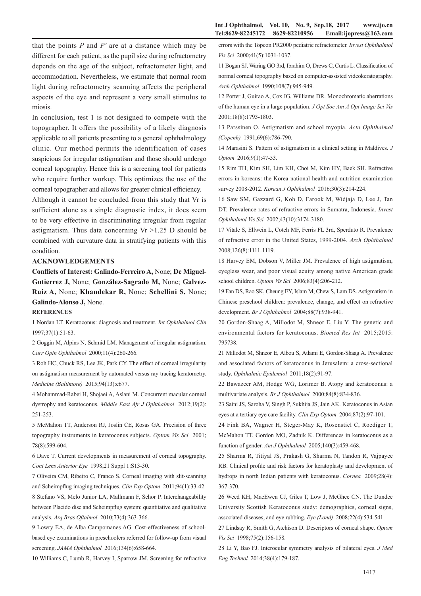miosis. In conclusion, test 1 is not designed to compete with the topographer. It offers the possibility of a likely diagnosis applicable to all patients presenting to a general ophthalmology clinic. Our method permits the identification of cases suspicious for irregular astigmatism and those should undergo corneal topography. Hence this is a screening tool for patients who require further workup. This optimizes the use of the corneal topographer and allows for greater clinical efficiency.

aspects of the eye and represent a very small stimulus to

Although it cannot be concluded from this study that Vr is sufficient alone as a single diagnostic index, it does seem to be very effective in discriminating irregular from regular astigmatism. Thus data concerning  $Vr > 1.25$  D should be combined with curvature data in stratifying patients with this condition.

### **ACKNOWLEDGEMENTS**

**Conflicts of Interest: Galindo-Ferreiro A,** None; **De Miguel-Gutierrez J,** None; **González-Sagrado M,** None; **Galvez-Ruiz A,** None; **Khandekar R,** None; **Schellini S,** None; **Galindo-Alonso J,** None.

#### **REFERENCES**

1 Nordan LT. Keratoconus: diagnosis and treatment. *Int Ophthalmol Clin* 1997;37(1):51-63.

2 Goggin M, Alpins N, Schmid LM. Management of irregular astigmatism. *Curr Opin Ophthalmol* 2000;11(4):260-266.

3 Roh HC, Chuck RS, Lee JK, Park CY. The effect of corneal irregularity on astigmatism measurement by automated versus ray tracing keratometry. *Medicine (Baltimore)* 2015;94(13):e677.

4 Mohammad-Rabei H, Shojaei A, Aslani M. Concurrent macular corneal dystrophy and keratoconus. *Middle East Afr J Ophthalmol* 2012;19(2): 251-253.

5 McMahon TT, Anderson RJ, Joslin CE, Rosas GA. Precision of three topography instruments in keratoconus subjects. *Optom Vis Sci* 2001; 78(8):599-604.

6 Dave T. Current developments in measurement of corneal topography. *Cont Lens Anterior Eye* 1998;21 Suppl 1:S13-30.

7 Oliveira CM, Ribeiro C, Franco S. Corneal imaging with slit-scanning and Scheimpflug imaging techniques. *Clin Exp Optom* 2011;94(1):33-42. 8 Stefano VS, Melo Junior LA, Mallmann F, Schor P. Interchangeability between Placido disc and Scheimpflug system: quantitative and qualitative analysis. *Arq Bras Oftalmol* 2010;73(4):363-366.

9 Lowry EA, de Alba Campomanes AG. Cost-effectiveness of schoolbased eye examinations in preschoolers referred for follow-up from visual screening. *JAMA Ophthalmol* 2016;134(6):658-664.

10 Williams C, Lumb R, Harvey I, Sparrow JM. Screening for refractive

errors with the Topcon PR2000 pediatric refractometer. *Invest Ophthalmol Vis Sci* 2000;41(5):1031-1037.

11 Bogan SJ, Waring GO 3rd, Ibrahim O, Drews C, Curtis L. Classification of normal corneal topography based on computer-assisted videokeratography. *Arch Ophthalmol* 1990;108(7):945-949.

12 Porter J, Guirao A, Cox IG, Williams DR. Monochromatic aberrations of the human eye in a large population. *J Opt Soc Am A Opt Image Sci Vis* 2001;18(8):1793-1803.

13 Parssinen O. Astigmatism and school myopia. *Acta Ophthalmol (Copenh)* 1991;69(6):786-790.

14 Marasini S. Pattern of astigmatism in a clinical setting in Maldives. *J Optom* 2016;9(1):47-53.

15 Rim TH, Kim SH, Lim KH, Choi M, Kim HY, Baek SH. Refractive errors in koreans: the Korea national health and nutrition examination survey 2008-2012. *Korean J Ophthalmol* 2016;30(3):214-224.

16 Saw SM, Gazzard G, Koh D, Farook M, Widjaja D, Lee J, Tan DT. Prevalence rates of refractive errors in Sumatra, Indonesia. *Invest Ophthalmol Vis Sci* 2002;43(10):3174-3180.

17 Vitale S, Ellwein L, Cotch MF, Ferris FL 3rd, Sperduto R. Prevalence of refractive error in the United States, 1999-2004. *Arch Ophthalmol*  2008;126(8):1111-1119.

18 Harvey EM, Dobson V, Miller JM. Prevalence of high astigmatism, eyeglass wear, and poor visual acuity among native American grade school children. *Optom Vis Sci* 2006;83(4):206-212.

19 Fan DS, Rao SK, Cheung EY, Islam M, Chew S, Lam DS. Astigmatism in Chinese preschool children: prevalence, change, and effect on refractive development. *Br J Ophthalmol* 2004;88(7):938-941.

20 Gordon-Shaag A, Millodot M, Shneor E, Liu Y. The genetic and environmental factors for keratoconus. *Biomed Res Int* 2015;2015: 795738.

21 Millodot M, Shneor E, Albou S, Atlami E, Gordon-Shaag A. Prevalence and associated factors of keratoconus in Jerusalem: a cross-sectional study. *Ophthalmic Epidemiol* 2011;18(2):91-97.

22 Bawazeer AM, Hodge WG, Lorimer B. Atopy and keratoconus: a multivariate analysis. *Br J Ophthalmol* 2000;84(8):834-836.

23 Saini JS, Saroha V, Singh P, Sukhija JS, Jain AK. Keratoconus in Asian eyes at a tertiary eye care facility. *Clin Exp Optom* 2004;87(2):97-101.

24 Fink BA, Wagner H, Steger-May K, Rosenstiel C, Roediger T, McMahon TT, Gordon MO, Zadnik K. Differences in keratoconus as a function of gender. *Am J Ophthalmol* 2005;140(3):459-468.

25 Sharma R, Titiyal JS, Prakash G, Sharma N, Tandon R, Vajpayee RB. Clinical profile and risk factors for keratoplasty and development of hydrops in north Indian patients with keratoconus. *Cornea* 2009;28(4): 367-370.

26 Weed KH, MacEwen CJ, Giles T, Low J, McGhee CN. The Dundee University Scottish Keratoconus study: demographics, corneal signs, associated diseases, and eye rubbing. *Eye (Lond)* 2008;22(4):534-541.

27 Lindsay R, Smith G, Atchison D. Descriptors of corneal shape. *Optom Vis Sci* 1998;75(2):156-158.

28 Li Y, Bao FJ. Interocular symmetry analysis of bilateral eyes. *J Med Eng Technol* 2014;38(4):179-187.